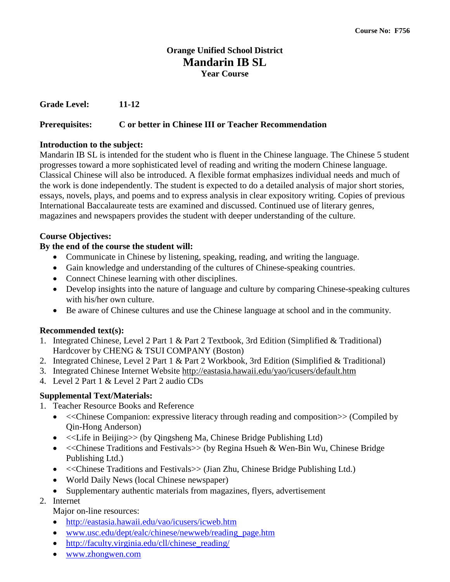# **Orange Unified School District Mandarin IB SL Year Course**

**Grade Level: 11-12**

## **Prerequisites: C or better in Chinese III or Teacher Recommendation**

#### **Introduction to the subject:**

Mandarin IB SL is intended for the student who is fluent in the Chinese language. The Chinese 5 student progresses toward a more sophisticated level of reading and writing the modern Chinese language. Classical Chinese will also be introduced. A flexible format emphasizes individual needs and much of the work is done independently. The student is expected to do a detailed analysis of major short stories, essays, novels, plays, and poems and to express analysis in clear expository writing. Copies of previous International Baccalaureate tests are examined and discussed. Continued use of literary genres, magazines and newspapers provides the student with deeper understanding of the culture.

### **Course Objectives:**

### **By the end of the course the student will:**

- Communicate in Chinese by listening, speaking, reading, and writing the language.
- Gain knowledge and understanding of the cultures of Chinese-speaking countries.
- Connect Chinese learning with other disciplines.
- Develop insights into the nature of language and culture by comparing Chinese-speaking cultures with his/her own culture.
- Be aware of Chinese cultures and use the Chinese language at school and in the community.

### **Recommended text(s):**

- 1. Integrated Chinese, Level 2 Part 1 & Part 2 Textbook, 3rd Edition (Simplified & Traditional) Hardcover by CHENG & TSUI COMPANY (Boston)
- 2. Integrated Chinese, Level 2 Part 1 & Part 2 Workbook, 3rd Edition (Simplified & Traditional)
- 3. Integrated Chinese Internet Website http://eastasia.hawaii.edu/yao/icusers/default.htm
- 4. Level 2 Part 1 & Level 2 Part 2 audio CDs

# **Supplemental Text/Materials:**

- 1. Teacher Resource Books and Reference
	- << Chinese Companion: expressive literacy through reading and composition  $\gg$  (Compiled by Qin-Hong Anderson)
	- <<Life in Beijing>> (by Qingsheng Ma, Chinese Bridge Publishing Ltd)
	- << Chinese Traditions and Festivals >> (by Regina Hsueh & Wen-Bin Wu, Chinese Bridge Publishing Ltd.)
	- << Chinese Traditions and Festivals >> (Jian Zhu, Chinese Bridge Publishing Ltd.)
	- World Daily News (local Chinese newspaper)
	- Supplementary authentic materials from magazines, flyers, advertisement
- 2. Internet

### Major on-line resources:

- <http://eastasia.hawaii.edu/vao/icusers/icweb.htm>
- [www.usc.edu/dept/ealc/chinese/newweb/reading\\_page.htm](http://www.usc.edu/dept/ealc/chinese/newweb/reading_page.htm)
- [http://faculty.virginia.edu/cll/chinese\\_reading/](http://faculty.virginia.edu/cll/chinese_reading/)
- [www.zhongwen.com](http://www.zhongwen.com/)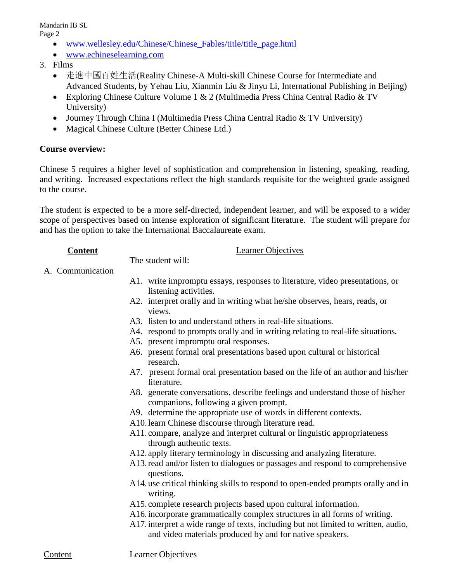Mandarin IB SL

Page 2

- www.wellesley.edu/Chinese/Chinese Fables/title/title\_page.html
- [www.echineselearning.com](http://www.echineselearning.com/)
- 3. Films
	- 走進中國百姓生活(Reality Chinese-A Multi-skill Chinese Course for Intermediate and Advanced Students, by Yehau Liu, Xianmin Liu & Jinyu Li, International Publishing in Beijing)
	- Exploring Chinese Culture Volume 1 & 2 (Multimedia Press China Central Radio & TV University)
	- Journey Through China I (Multimedia Press China Central Radio & TV University)
	- Magical Chinese Culture (Better Chinese Ltd.)

# **Course overview:**

Chinese 5 requires a higher level of sophistication and comprehension in listening, speaking, reading, and writing. Increased expectations reflect the high standards requisite for the weighted grade assigned to the course.

The student is expected to be a more self-directed, independent learner, and will be exposed to a wider scope of perspectives based on intense exploration of significant literature. The student will prepare for and has the option to take the International Baccalaureate exam.

## **Content** Learner Objectives

The student will:

## A. Communication

- A1. write impromptu essays, responses to literature, video presentations, or listening activities.
- A2. interpret orally and in writing what he/she observes, hears, reads, or views.
- A3. listen to and understand others in real-life situations.
- A4. respond to prompts orally and in writing relating to real-life situations.
- A5. present impromptu oral responses.
- A6. present formal oral presentations based upon cultural or historical research.
- A7. present formal oral presentation based on the life of an author and his/her literature.
- A8. generate conversations, describe feelings and understand those of his/her companions, following a given prompt.
- A9. determine the appropriate use of words in different contexts.
- A10.learn Chinese discourse through literature read.
- A11. compare, analyze and interpret cultural or linguistic appropriateness through authentic texts.
- A12. apply literary terminology in discussing and analyzing literature.
- A13.read and/or listen to dialogues or passages and respond to comprehensive questions.
- A14. use critical thinking skills to respond to open-ended prompts orally and in writing.
- A15. complete research projects based upon cultural information.
- A16.incorporate grammatically complex structures in all forms of writing.
- A17.interpret a wide range of texts, including but not limited to written, audio, and video materials produced by and for native speakers.

Content Learner Objectives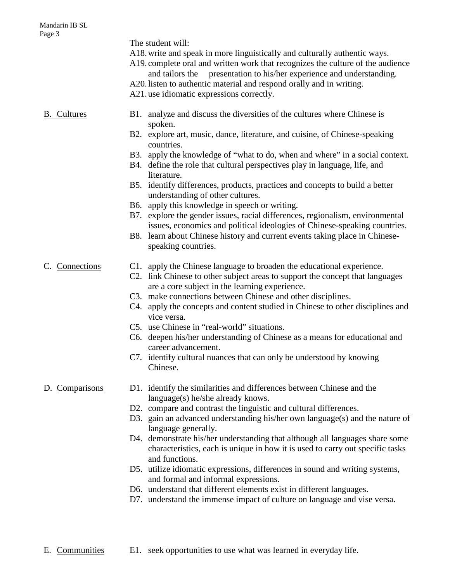| -0                 | The student will:<br>A18 write and speak in more linguistically and culturally authentic ways.<br>A19. complete oral and written work that recognizes the culture of the audience<br>presentation to his/her experience and understanding.<br>and tailors the<br>A20. listen to authentic material and respond orally and in writing.<br>A21 use idiomatic expressions correctly.                                                                                                                                                                                                                                                                                                                                                                     |
|--------------------|-------------------------------------------------------------------------------------------------------------------------------------------------------------------------------------------------------------------------------------------------------------------------------------------------------------------------------------------------------------------------------------------------------------------------------------------------------------------------------------------------------------------------------------------------------------------------------------------------------------------------------------------------------------------------------------------------------------------------------------------------------|
| <b>B.</b> Cultures | B1. analyze and discuss the diversities of the cultures where Chinese is<br>spoken.<br>B2. explore art, music, dance, literature, and cuisine, of Chinese-speaking<br>countries.<br>B3. apply the knowledge of "what to do, when and where" in a social context.<br>B4. define the role that cultural perspectives play in language, life, and<br>literature.                                                                                                                                                                                                                                                                                                                                                                                         |
|                    | B5. identify differences, products, practices and concepts to build a better<br>understanding of other cultures.<br>B6. apply this knowledge in speech or writing.<br>B7. explore the gender issues, racial differences, regionalism, environmental<br>issues, economics and political ideologies of Chinese-speaking countries.<br>B8. learn about Chinese history and current events taking place in Chinese-<br>speaking countries.                                                                                                                                                                                                                                                                                                                |
| C. Connections     | C1. apply the Chinese language to broaden the educational experience.<br>C2. link Chinese to other subject areas to support the concept that languages<br>are a core subject in the learning experience.<br>C3. make connections between Chinese and other disciplines.<br>C4. apply the concepts and content studied in Chinese to other disciplines and<br>vice versa.<br>C5. use Chinese in "real-world" situations.<br>C6. deepen his/her understanding of Chinese as a means for educational and<br>career advancement.<br>C7. identify cultural nuances that can only be understood by knowing<br>Chinese.                                                                                                                                      |
| D. Comparisons     | D1. identify the similarities and differences between Chinese and the<br>language(s) he/she already knows.<br>D2. compare and contrast the linguistic and cultural differences.<br>D3. gain an advanced understanding his/her own language(s) and the nature of<br>language generally.<br>D4. demonstrate his/her understanding that although all languages share some<br>characteristics, each is unique in how it is used to carry out specific tasks<br>and functions.<br>D5. utilize idiomatic expressions, differences in sound and writing systems,<br>and formal and informal expressions.<br>D6. understand that different elements exist in different languages.<br>D7. understand the immense impact of culture on language and vise versa. |